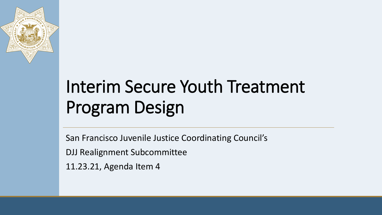

# Interim Secure Youth Treatment Program Design

San Francisco Juvenile Justice Coordinating Council's

DJJ Realignment Subcommittee

11.23.21, Agenda Item 4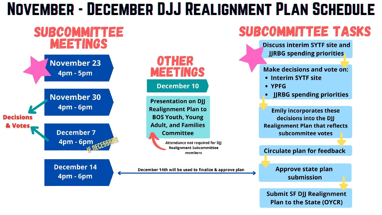#### NOVEMBER - DECEMBER DJJ REALIGNMENT PLAN SCHEDULE



**Submit SF DJJ Realignment Plan to the State (OYCR)**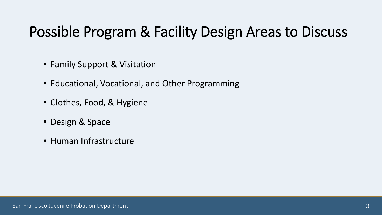#### Possible Program & Facility Design Areas to Discuss

- Family Support & Visitation
- Educational, Vocational, and Other Programming
- Clothes, Food, & Hygiene
- Design & Space
- Human Infrastructure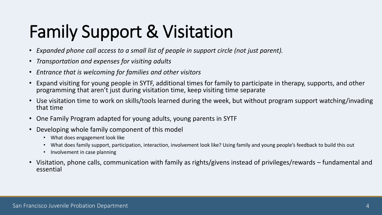# Family Support & Visitation

- *Expanded phone call access to a small list of people in support circle (not just parent).*
- *Transportation and expenses for visiting adults*
- *Entrance that is welcoming for families and other visitors*
- Expand visiting for young people in SYTF, additional times for family to participate in therapy, supports, and other programming that aren't just during visitation time, keep visiting time separate
- Use visitation time to work on skills/tools learned during the week, but without program support watching/invading that time
- One Family Program adapted for young adults, young parents in SYTF
- Developing whole family component of this model
	- What does engagement look like
	- What does family support, participation, interaction, involvement look like? Using family and young people's feedback to build this out
	- Involvement in case planning
- Visitation, phone calls, communication with family as rights/givens instead of privileges/rewards fundamental and essential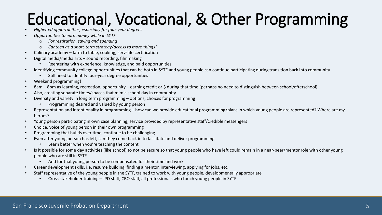## Educational, Vocational, & Other Programming

- *Higher ed opportunities, especially for four-year degrees*
- *Opportunities to earn money while in SYTF*
	- o *For restitution, saving and spending*
	- o *Canteen as a short-term strategy/access to more things?*
- Culinary academy farm to table, cooking, servsafe certification
- Digital media/media arts sound recording, filmmaking
	- Reentering with experience, knowledge, and paid opportunities
- Identifying community college opportunities that can be both in SYTF and young people can continue participating during transition back into community
	- Still need to identify four-year degree opportunities
- Weekend programming!
- 8am 8pm as learning, recreation, opportunity earning credit or \$ during that time (perhaps no need to distinguish between school/afterschool)
- Also, creating separate times/spaces that mimic school day in community
- Diversity and variety in long term programming options, choices for programming
	- Programming desired and valued by young person
- Representation and intentionality in programming how can we provide educational programming/plans in which young people are represented? Where are my heroes?
- Young person participating in own case planning, service provided by representative staff/credible messengers
- Choice, voice of young person in their own programming
- Programming that builds over time, continue to be challenging
- Even after young person has left, can they come back in to facilitate and deliver programming
	- Learn better when you're teaching the content
- Is it possible for some day activities (like school) to not be secure so that young people who have left could remain in a near-peer/mentor role with other young people who are still in SYTF
	- And for that young person to be compensated for their time and work
- Career development skills, i.e. resume building, finding a mentor, interviewing, applying for jobs, etc.
- Staff representative of the young people in the SYTF, trained to work with young people, developmentally appropriate
	- Cross stakeholder training JPD staff, CBO staff, all professionals who touch young people in SYTF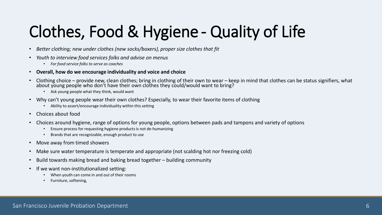## Clothes, Food & Hygiene - Quality of Life

- *Better clothing; new under clothes (new socks/boxers), proper size clothes that fit*
- *Youth to interview food services folks and advise on menus* 
	- *For food service folks to serve as coaches*
- **Overall, how do we encourage individuality and voice and choice**
- Clothing choice provide new, clean clothes; bring in clothing of their own to wear keep in mind that clothes can be status signifiers, what about voung people who don't have their own clothes they could/would want to
	- Ask young people what they think, would want
- Why can't young people wear their own clothes? Especially, to wear their favorite items of clothing
	- Ability to assert/encourage individuality within this setting
- Choices about food
- Choices around hygiene, range of options for young people, options between pads and tampons and variety of options
	- Ensure process for requesting hygiene products is not de-humanizing
	- Brands that are recognizable, enough product to use
- Move away from timed showers
- Make sure water temperature is temperate and appropriate (not scalding hot nor freezing cold)
- Build towards making bread and baking bread together building community
- If we want non-institutionalized setting:
	- When youth can come in and out of their rooms
	- Furniture, softening,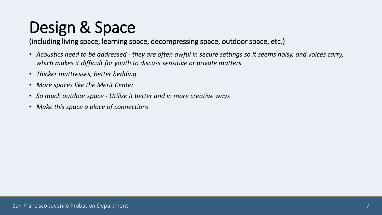### Design & Space

(including living space, learning space, decompressing space, outdoor space, etc.)

- *Acoustics need to be addressed - they are often awful in secure settings so it seems noisy, and voices carry, which makes it difficult for youth to discuss sensitive or private matters*
- *Thicker mattresses, better bedding*
- *More spaces like the Merit Center*
- *So much outdoor space - Utilize it better and in more creative ways*
- *Make this space a place of connections*